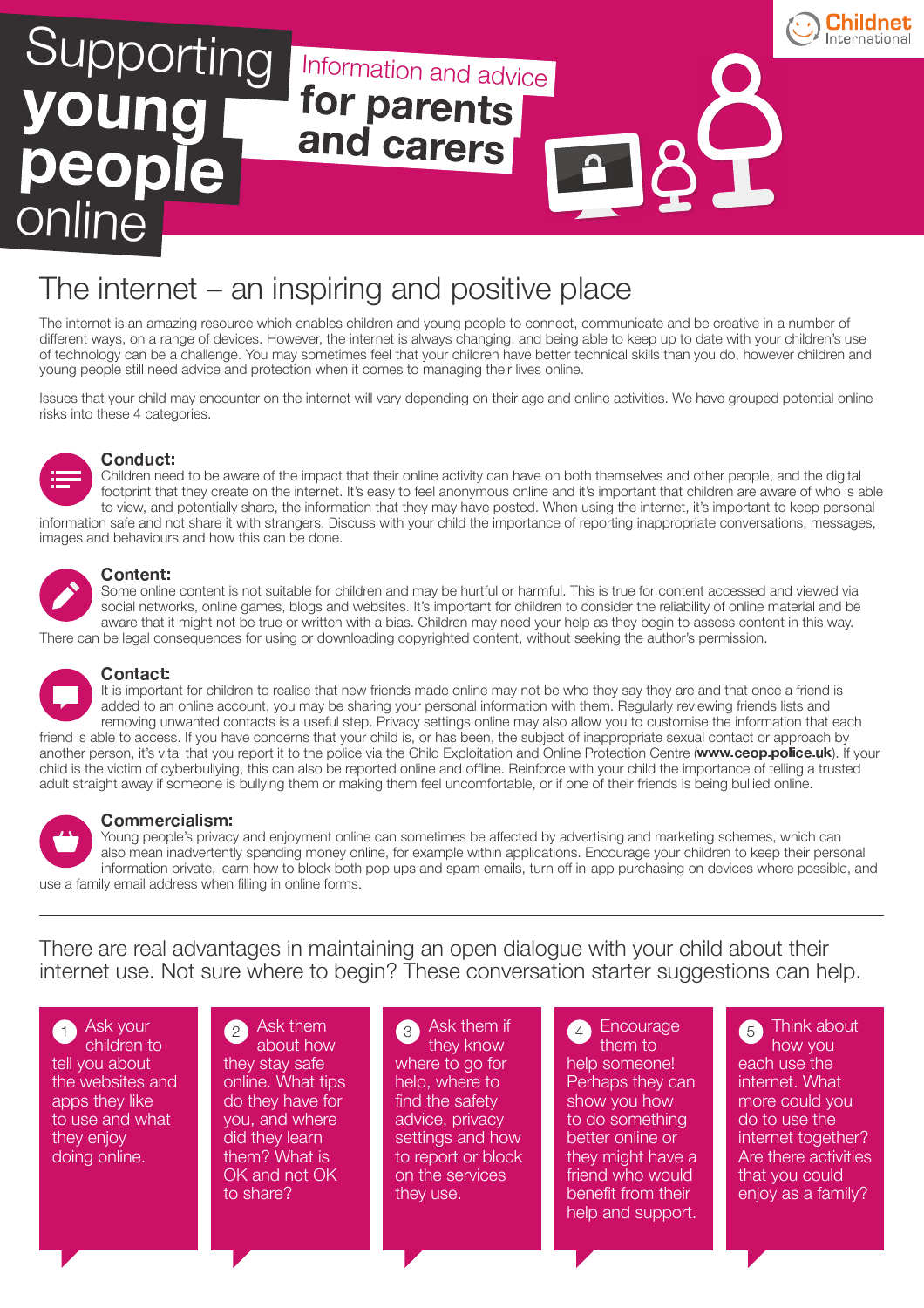

## The internet – an inspiring and positive place

The internet is an amazing resource which enables children and young people to connect, communicate and be creative in a number of different ways, on a range of devices. However, the internet is always changing, and being able to keep up to date with your children's use of technology can be a challenge. You may sometimes feel that your children have better technical skills than you do, however children and young people still need advice and protection when it comes to managing their lives online.

Issues that your child may encounter on the internet will vary depending on their age and online activities. We have grouped potential online risks into these 4 categories.



#### -

Children need to be aware of the impact that their online activity can have on both themselves and other people, and the digital footprint that they create on the internet. It's easy to feel anonymous online and it's important that children are aware of who is able to view, and potentially share, the information that they may have posted. When using the internet, it's important to keep personal information safe and not share it with strangers. Discuss with your child the importance of reporting inappropriate conversations, messages, images and behaviours and how this can be done.

#### - -

Some online content is not suitable for children and may be hurtful or harmful. This is true for content accessed and viewed via social networks, online games, blogs and websites. It's important for children to consider the reliability of online material and be aware that it might not be true or written with a bias. Children may need your help as they begin to assess content in this way. There can be legal consequences for using or downloading copyrighted content, without seeking the author's permission.



### -

It is important for children to realise that new friends made online may not be who they say they are and that once a friend is added to an online account, you may be sharing your personal information with them. Regularly reviewing friends lists and removing unwanted contacts is a useful step. Privacy settings online may also allow you to customise the information that each friend is able to access. If you have concerns that your child is, or has been, the subject of inappropriate sexual contact or approach by another person, it's vital that you report it to the police via the Child Exploitation and Online Protection Centre (www.ceop.police.uk). If your child is the victim of cyberbullying, this can also be reported online and offline. Reinforce with your child the importance of telling a trusted adult straight away if someone is bullying them or making them feel uncomfortable, or if one of their friends is being bullied online.



Young people's privacy and enjoyment online can sometimes be affected by advertising and marketing schemes, which can also mean inadvertently spending money online, for example within applications. Encourage your children to keep their personal information private, learn how to block both pop ups and spam emails, turn off in-app purchasing on devices where possible, and use a family email address when filling in online forms.

There are real advantages in maintaining an open dialogue with your child about their internet use. Not sure where to begin? These conversation starter suggestions can help.

**Ask your** children to tell you about the websites and apps they like to use and what they enjoy doing online.

**Ask them** about how they stay safe online. What tips do they have for you, and where did they learn them? What is OK and not OK to share?

**Ask them if** they know where to go for help, where to find the safety advice, privacy settings and how to report or block on the services they use.

Encourage them to help someone! Perhaps they can show you how to do something better online or they might have a friend who would benefit from their help and support. 1  $\frac{1}{2}$   $\frac{1}{2}$   $\frac{1}{2}$   $\frac{1}{2}$   $\frac{1}{2}$   $\frac{1}{2}$   $\frac{1}{2}$   $\frac{1}{2}$   $\frac{1}{2}$   $\frac{1}{2}$   $\frac{1}{2}$   $\frac{1}{2}$   $\frac{1}{2}$   $\frac{1}{2}$   $\frac{1}{2}$   $\frac{1}{2}$   $\frac{1}{2}$   $\frac{1}{2}$   $\frac{1}{2}$   $\frac{1}{2}$   $\frac{1}{2}$   $\frac{1}{2}$ 

Think about how you each use the internet. What more could you do to use the internet together? Are there activities that you could enjoy as a family?